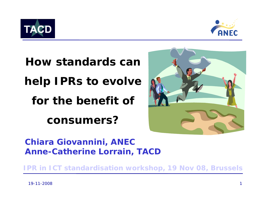



**How standards can help IPRs to evolve for the benefit of consumers?**



*Chiara Giovannini, ANEC Anne-Catherine Lorrain, TACD*

*IPR in ICT standardisation workshop, 19 Nov 08, Brussels*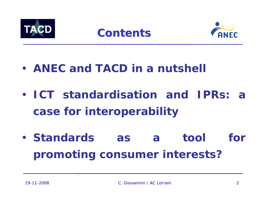



- **ANEC and TACD in a nutshell**
- **ICT standardisation and IPRs: a case for interoperability**
- **Standards as a tool for promoting consumer interests?**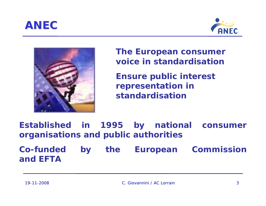





**The European consumer voice in standardisation**

**Ensure public interest representation in standardisation**

**Established in 1995 by national consumer organisations and public authorities**

**Co-funded by the European Commission and EFTA**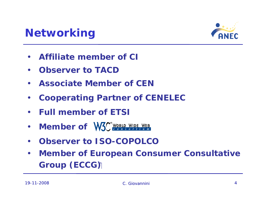



- $\bullet$ **Affiliate member of CI**
- $\bullet$ **Observer to TACD**
- $\bullet$ **Associate Member of CEN**
- $\bullet$ **Cooperating Partner of CENELEC**
- $\bullet$ **Full member of ETSI**
- $\bullet$ **Member of W3C** WORLD WIDE WEB
- $\bullet$ **Observer to ISO-COPOLCO**
- $\bullet$  **Member of European Consumer Consultative Group (ECCG)**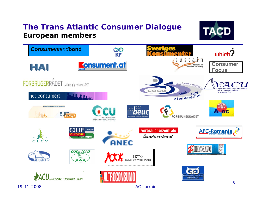#### *The Trans Atlantic Consumer Dialogue* **European members**



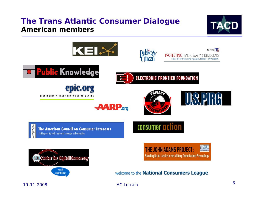#### *The Trans Atlantic Consumer Dialogue* **American members**



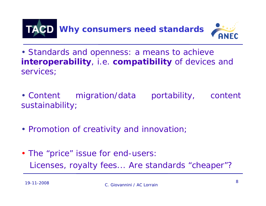

• Standards and openness: a means to achieve **interoperability**, *i.e.* **compatibility** of devices and services;

- Content migration/data portability, content sustainability;
- Promotion of creativity and innovation;
- The "price" issue for end-users: Licenses, royalty fees... Are standards "cheaper"?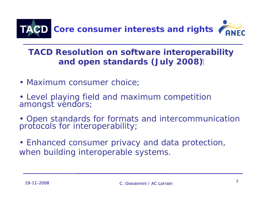

## **TACD Resolution on software interoperability and open standards (July 2008)**

- Maximum consumer choice;
- Level playing field and maximum competition amongst vendors;
- Open standards for formats and intercommunication<br>protocols for interoperability;
- Enhanced consumer privacy and data protection, when building interoperable systems.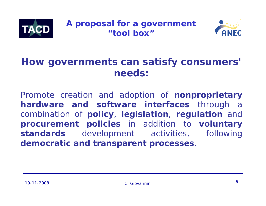



## **How governments can satisfy consumers' needs:**

Promote creation and adoption of **nonproprietary hardware and software interfaces** through a combination of **policy**, **legislation**, **regulation** and **procurement policies** in addition to **voluntary standards** development activities, following **democratic and transparent processes**.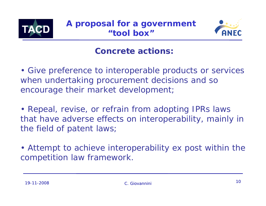



#### **Concrete actions:**

• Give preference to interoperable products or services when undertaking procurement decisions and so encourage their market development;

• Repeal, revise, or refrain from adopting IPRs laws that have adverse effects on interoperability, mainly in the field of patent laws;

• Attempt to achieve interoperability *ex post* within the competition law framework.